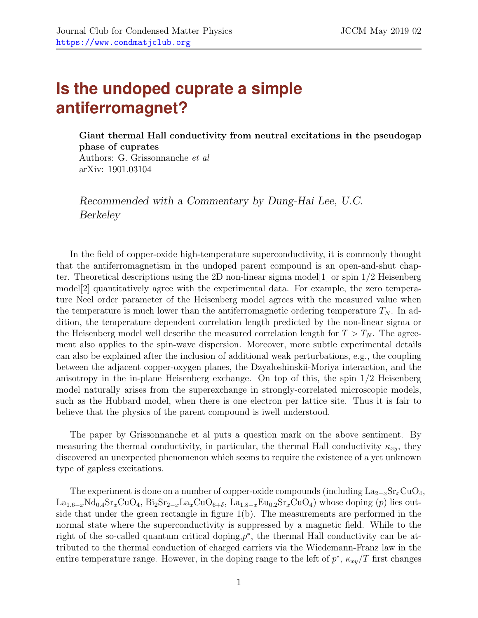## **Is the undoped cuprate a simple antiferromagnet?**

Giant thermal Hall conductivity from neutral excitations in the pseudogap phase of cuprates

Authors: G. Grissonnanche et al arXiv: 1901.03104

Recommended with a Commentary by Dung-Hai Lee, U.C. Berkeley

In the field of copper-oxide high-temperature superconductivity, it is commonly thought that the antiferromagnetism in the undoped parent compound is an open-and-shut chap-ter. Theoretical descriptions using the 2D non-linear sigma model [\[1\]](#page-3-0) or spin  $1/2$  Heisenberg model[\[2\]](#page-3-1) quantitatively agree with the experimental data. For example, the zero temperature Neel order parameter of the Heisenberg model agrees with the measured value when the temperature is much lower than the antiferromagnetic ordering temperature  $T_N$ . In addition, the temperature dependent correlation length predicted by the non-linear sigma or the Heisenberg model well describe the measured correlation length for  $T > T_N$ . The agreement also applies to the spin-wave dispersion. Moreover, more subtle experimental details can also be explained after the inclusion of additional weak perturbations, e.g., the coupling between the adjacent copper-oxygen planes, the Dzyaloshinskii-Moriya interaction, and the anisotropy in the in-plane Heisenberg exchange. On top of this, the spin 1/2 Heisenberg model naturally arises from the superexchange in strongly-correlated microscopic models, such as the Hubbard model, when there is one electron per lattice site. Thus it is fair to believe that the physics of the parent compound is iwell understood.

The paper by Grissonnanche et al puts a question mark on the above sentiment. By measuring the thermal conductivity, in particular, the thermal Hall conductivity  $\kappa_{xy}$ , they discovered an unexpected phenomenon which seems to require the existence of a yet unknown type of gapless excitations.

The experiment is done on a number of copper-oxide compounds (including  $\text{La}_{2-x}\text{Sr}_x\text{CuO}_4$ ,  $La_{1.6-x}Nd_{0.4}Sr_xCuO_4$ ,  $Bi_2Sr_{2-x}La_xCuO_{6+\delta}$ ,  $La_{1.8-x}Eu_{0.2}Sr_xCuO_4$ ) whose doping (p) lies outside that under the green rectangle in figure 1(b). The measurements are performed in the normal state where the superconductivity is suppressed by a magnetic field. While to the right of the so-called quantum critical doping, $p^*$ , the thermal Hall conductivity can be attributed to the thermal conduction of charged carriers via the Wiedemann-Franz law in the entire temperature range. However, in the doping range to the left of  $p^*$ ,  $\kappa_{xy}/T$  first changes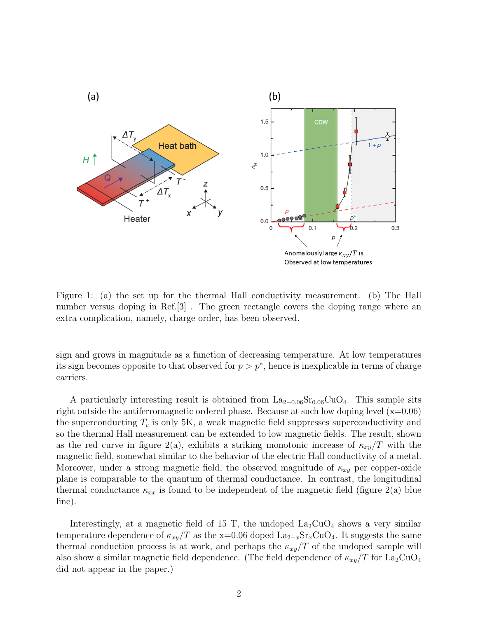

Figure 1: (a) the set up for the thermal Hall conductivity measurement. (b) The Hall number versus doping in Ref.[3] . The green rectangle covers the doping range where an extra complication, namely, charge order, has been observed.

sign and grows in magnitude as a function of decreasing temperature. At low temperatures its sign becomes opposite to that observed for  $p > p^*$ , hence is inexplicable in terms of charge carriers.

A particularly interesting result is obtained from  $La_{2-0.06}Sr_{0.06}CuO_4$ . This sample sits right outside the antiferromagnetic ordered phase. Because at such low doping level  $(x=0.06)$ the superconducting  $T_c$  is only 5K, a weak magnetic field suppresses superconductivity and so the thermal Hall measurement can be extended to low magnetic fields. The result, shown as the red curve in figure 2(a), exhibits a striking monotonic increase of  $\kappa_{xy}/T$  with the magnetic field, somewhat similar to the behavior of the electric Hall conductivity of a metal. Moreover, under a strong magnetic field, the observed magnitude of  $\kappa_{xy}$  per copper-oxide plane is comparable to the quantum of thermal conductance. In contrast, the longitudinal thermal conductance  $\kappa_{xx}$  is found to be independent of the magnetic field (figure 2(a) blue line).

Interestingly, at a magnetic field of 15 T, the undoped  $La_2CuO_4$  shows a very similar temperature dependence of  $\kappa_{xy}/T$  as the x=0.06 doped  $\text{La}_{2-x}\text{Sr}_{x}\text{CuO}_{4}$ . It suggests the same thermal conduction process is at work, and perhaps the  $\kappa_{xy}/T$  of the undoped sample will also show a similar magnetic field dependence. (The field dependence of  $\kappa_{xy}/T$  for La<sub>2</sub>CuO<sub>4</sub> did not appear in the paper.)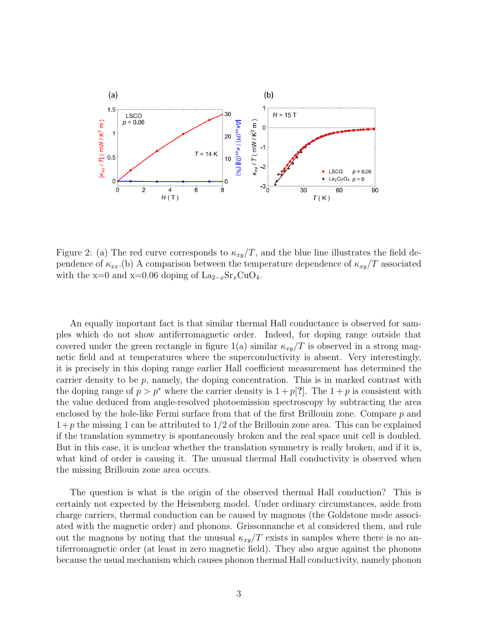

Figure 2: (a) The red curve corresponds to  $\kappa_{xy}/T$ , and the blue line illustrates the field dependence of  $\kappa_{xx}$ .(b) A comparison between the temperature dependence of  $\kappa_{xy}/T$  associated with the x=0 and x=0.06 doping of  $\text{La}_{2-x}\text{Sr}_x\text{CuO}_4$ .

An equally important fact is that similar thermal Hall conductance is observed for samples which do not show antiferromagnetic order. Indeed, for doping range outside that covered under the green rectangle in figure 1(a) similar  $\kappa_{xy}/T$  is observed in a strong magnetic field and at temperatures where the superconductivity is absent. Very interestingly, it is precisely in this doping range earlier Hall coefficient measurement has determined the carrier density to be  $p$ , namely, the doping concentration. This is in marked contrast with the doping range of  $p > p^*$  where the carrier density is  $1 + p[?]$ . The  $1 + p$  is consistent with the value deduced from angle-resolved photoemission spectroscopy by subtracting the area enclosed by the hole-like Fermi surface from that of the first Brillouin zone. Compare  $p$  and  $1+p$  the missing 1 can be attributed to  $1/2$  of the Brillouin zone area. This can be explained if the translation symmetry is spontaneously broken and the real space unit cell is doubled. But in this case, it is unclear whether the translation symmetry is really broken, and if it is, what kind of order is causing it. The unusual thermal Hall conductivity is observed when the missing Brillouin zone area occurs.

The question is what is the origin of the observed thermal Hall conduction? This is certainly not expected by the Heisenberg model. Under ordinary circumstances, aside from charge carriers, thermal conduction can be caused by magnons (the Goldstone mode associated with the magnetic order) and phonons. Grissonnanche et al considered them, and rule out the magnons by noting that the unusual  $\kappa_{xy}/T$  exists in samples where there is no antiferromagnetic order (at least in zero magnetic field). They also argue against the phonons because the usual mechanism which causes phonon thermal Hall conductivity, namely phonon